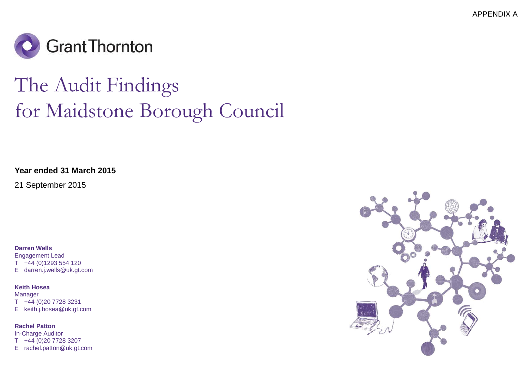APPENDIX A



## The Audit Findingsfor Maidstone Borough Council

**Year ended 31 March 2015**

21 September 2015

**Darren Wells**

 Engagement Lead T +44 (0)1293 554 120E darren.j.wells@uk.gt.com

**Keith Hosea**

Manager T +44 (0)20 7728 3231E keith.j.hosea@uk.gt.com

**Rachel Patton** In-Charge Auditor T +44 (0)20 7728 3207E rachel.patton@uk.gt.com

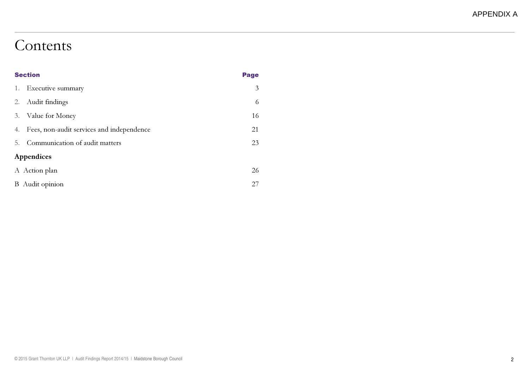### Contents

|    | <b>Section</b>                            |                |
|----|-------------------------------------------|----------------|
| 1. | Executive summary                         | $\mathfrak{Z}$ |
| 2. | Audit findings                            | 6              |
| 3. | Value for Money                           | 16             |
| 4. | Fees, non-audit services and independence | 21             |
|    | 5. Communication of audit matters         | 23             |
|    | Appendices                                |                |
|    | A Action plan                             | 26             |
|    | <b>B</b> Audit opinion                    | 27             |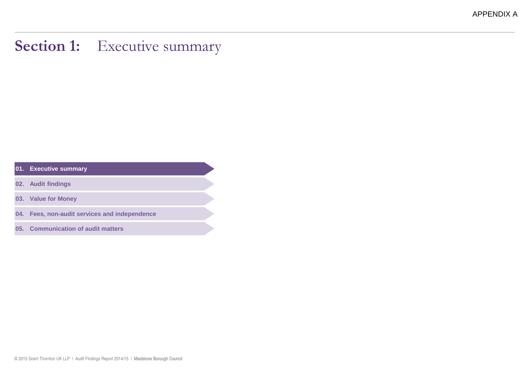### Section 1: Executive summary

**01. Executive summary**

**02. Audit findings**

**03. Value for Money**

**04. Fees, non-audit services and independence**

**05. Communication of audit matters**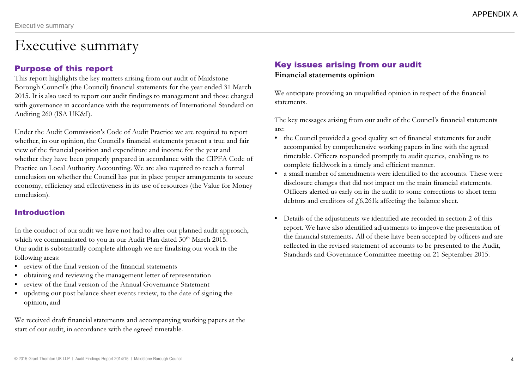### Executive summary

#### Purpose of this report

 This report highlights the key matters arising from our audit of Maidstone Borough Council's (the Council) financial statements for the year ended 31 March 2015. It is also used to report our audit findings to management and those charged with governance in accordance with the requirements of International Standard on Auditing 260 (ISA UK&I).

Under the Audit Commission's Code of Audit Practice we are required to report whether, in our opinion, the Council's financial statements present a true and fair view of the financial position and expenditure and income for the year and whether they have been properly prepared in accordance with the CIPFA Code of Practice on Local Authority Accounting. We are also required to reach a formal conclusion on whether the Council has put in place proper arrangements to secure economy, efficiency and effectiveness in its use of resources (the Value for Money conclusion).

#### Introduction

In the conduct of our audit we have not had to alter our planned audit approach, which we communicated to you in our Audit Plan dated 30<sup>th</sup> March 2015. Our audit is substantially complete although we are finalising our work in the following areas:

- review of the final version of the financial statements
- obtaining and reviewing the management letter of representation
- review of the final version of the Annual Governance Statement
- updating our post balance sheet events review, to the date of signing the opinion, and

We received draft financial statements and accompanying working papers at the start of our audit, in accordance with the agreed timetable.

### Key issues arising from our audit

#### Financial statements opinion

We anticipate providing an unqualified opinion in respect of the financial statements.

The key messages arising from our audit of the Council's financial statements are:

- the Council provided a good quality set of financial statements for audit accompanied by comprehensive working papers in line with the agreed timetable. Officers responded promptly to audit queries, enabling us to complete fieldwork in a timely and efficient manner.
- a small number of amendments were identified to the accounts. These were disclosure changes that did not impact on the main financial statements. Officers alerted us early on in the audit to some corrections to short termdebtors and creditors of  $f(6,261k$  affecting the balance sheet.
- Details of the adjustments we identified are recorded in section 2 of this report. We have also identified adjustments to improve the presentation of the financial statements. All of these have been accepted by officers and are reflected in the revised statement of accounts to be presented to the Audit, Standards and Governance Committee meeting on 21 September 2015.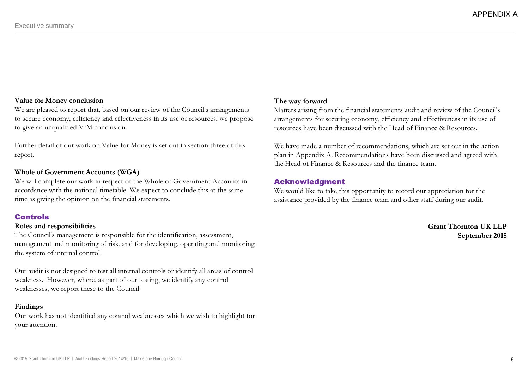#### Value for Money conclusion

 We are pleased to report that, based on our review of the Council's arrangements to secure economy, efficiency and effectiveness in its use of resources, we propose to give an unqualified VfM conclusion.

Further detail of our work on Value for Money is set out in section three of this report.

#### Whole of Government Accounts (WGA)

 We will complete our work in respect of the Whole of Government Accounts in accordance with the national timetable. We expect to conclude this at the same time as giving the opinion on the financial statements.

#### Controls

#### Roles and responsibilities

 The Council's management is responsible for the identification, assessment, management and monitoring of risk, and for developing, operating and monitoring the system of internal control.

Our audit is not designed to test all internal controls or identify all areas of control weakness. However, where, as part of our testing, we identify any control weaknesses, we report these to the Council.

#### Findings

 Our work has not identified any control weaknesses which we wish to highlight for your attention.

#### The way forward

 Matters arising from the financial statements audit and review of the Council's arrangements for securing economy, efficiency and effectiveness in its use of resources have been discussed with the Head of Finance & Resources.

We have made a number of recommendations, which are set out in the action plan in Appendix A. Recommendations have been discussed and agreed with the Head of Finance & Resources and the finance team.

#### Acknowledgment

 We would like to take this opportunity to record our appreciation for the assistance provided by the finance team and other staff during our audit.

> Grant Thornton UK LLPSeptember 2015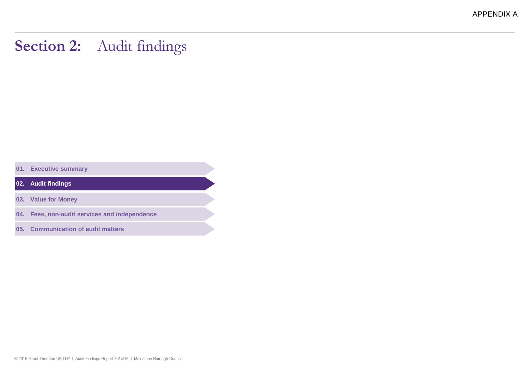APPENDIX A

### Section 2: Audit findings

**01. Executive summary**

**02. Audit findings**

**03. Value for Money**

**04. Fees, non-audit services and independence**

**05. Communication of audit matters**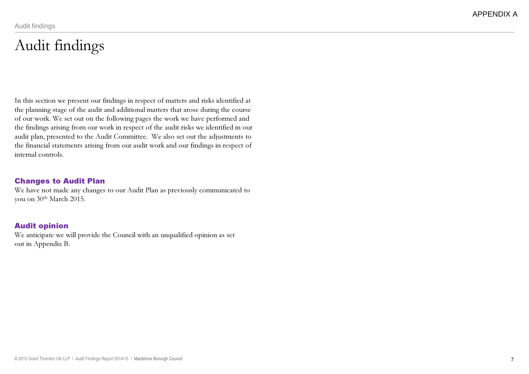### Audit findings

In this section we present our findings in respect of matters and risks identified at the planning stage of the audit and additional matters that arose during the course of our work. We set out on the following pages the work we have performed and the findings arising from our work in respect of the audit risks we identified in our audit plan, presented to the Audit Committee. We also set out the adjustments to the financial statements arising from our audit work and our findings in respect of internal controls.

#### Changes to Audit Plan

 We have not made any changes to our Audit Plan as previously communicated to you on 30<sup>th</sup> March 2015.

#### Audit opinion

 We anticipate we will provide the Council with an unqualified opinion as setout in Appendix B.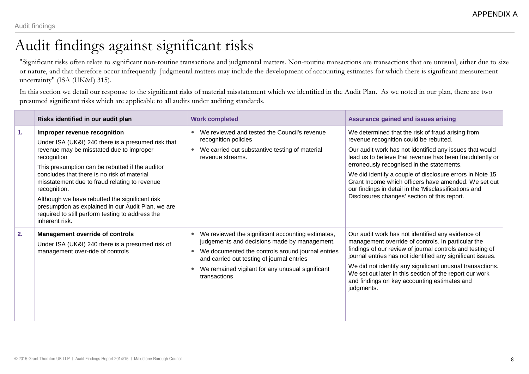### Audit findings against significant risks

"Significant risks often relate to significant non-routine transactions and judgmental matters. Non-routine transactions are transactions that are unusual, either due to size or nature, and that therefore occur infrequently. Judgmental matters may include the development of accounting estimates for which there is significant measurement uncertainty" (ISA (UK&I) 315).

In this section we detail our response to the significant risks of material misstatement which we identified in the Audit Plan. As we noted in our plan, there are two presumed significant risks which are applicable to all audits under auditing standards.

|    | Risks identified in our audit plan                                                                                                                                                                                                                                                                                                                                                                                                                                                             | <b>Work completed</b>                                                                                                                                                                                                                                                    | <b>Assurance gained and issues arising</b>                                                                                                                                                                                                                                                                                                                                                                                                                                                   |
|----|------------------------------------------------------------------------------------------------------------------------------------------------------------------------------------------------------------------------------------------------------------------------------------------------------------------------------------------------------------------------------------------------------------------------------------------------------------------------------------------------|--------------------------------------------------------------------------------------------------------------------------------------------------------------------------------------------------------------------------------------------------------------------------|----------------------------------------------------------------------------------------------------------------------------------------------------------------------------------------------------------------------------------------------------------------------------------------------------------------------------------------------------------------------------------------------------------------------------------------------------------------------------------------------|
| 1. | Improper revenue recognition<br>Under ISA (UK&I) 240 there is a presumed risk that<br>revenue may be misstated due to improper<br>recognition<br>This presumption can be rebutted if the auditor<br>concludes that there is no risk of material<br>misstatement due to fraud relating to revenue<br>recognition.<br>Although we have rebutted the significant risk<br>presumption as explained in our Audit Plan, we are<br>required to still perform testing to address the<br>inherent risk. | We reviewed and tested the Council's revenue<br>recognition policies<br>We carried out substantive testing of material<br>revenue streams.                                                                                                                               | We determined that the risk of fraud arising from<br>revenue recognition could be rebutted.<br>Our audit work has not identified any issues that would<br>lead us to believe that revenue has been fraudulently or<br>erroneously recognised in the statements.<br>We did identify a couple of disclosure errors in Note 15<br>Grant Income which officers have amended. We set out<br>our findings in detail in the 'Misclassifications and<br>Disclosures changes' section of this report. |
| 2. | <b>Management override of controls</b><br>Under ISA (UK&I) 240 there is a presumed risk of<br>management over-ride of controls                                                                                                                                                                                                                                                                                                                                                                 | We reviewed the significant accounting estimates,<br>judgements and decisions made by management.<br>We documented the controls around journal entries<br>and carried out testing of journal entries<br>We remained vigilant for any unusual significant<br>transactions | Our audit work has not identified any evidence of<br>management override of controls. In particular the<br>findings of our review of journal controls and testing of<br>journal entries has not identified any significant issues.<br>We did not identify any significant unusual transactions.<br>We set out later in this section of the report our work<br>and findings on key accounting estimates and<br>judgments.                                                                     |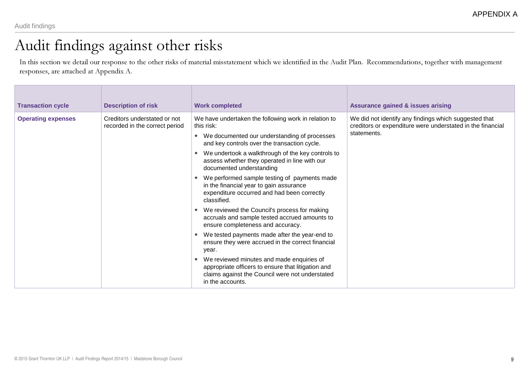### Audit findings against other risks

In this section we detail our response to the other risks of material misstatement which we identified in the Audit Plan. Recommendations, together with management responses, are attached at Appendix A.

| <b>Transaction cycle</b>  | <b>Description of risk</b>                                     | <b>Work completed</b>                                                                                                                                                  | <b>Assurance gained &amp; issues arising</b>                                                                                       |
|---------------------------|----------------------------------------------------------------|------------------------------------------------------------------------------------------------------------------------------------------------------------------------|------------------------------------------------------------------------------------------------------------------------------------|
| <b>Operating expenses</b> | Creditors understated or not<br>recorded in the correct period | We have undertaken the following work in relation to<br>this risk:<br>• We documented our understanding of processes                                                   | We did not identify any findings which suggested that<br>creditors or expenditure were understated in the financial<br>statements. |
|                           |                                                                | and key controls over the transaction cycle.                                                                                                                           |                                                                                                                                    |
|                           |                                                                | We undertook a walkthrough of the key controls to<br>assess whether they operated in line with our<br>documented understanding                                         |                                                                                                                                    |
|                           |                                                                | We performed sample testing of payments made<br>in the financial year to gain assurance<br>expenditure occurred and had been correctly<br>classified.                  |                                                                                                                                    |
|                           |                                                                | We reviewed the Council's process for making<br>accruals and sample tested accrued amounts to<br>ensure completeness and accuracy.                                     |                                                                                                                                    |
|                           |                                                                |                                                                                                                                                                        | We tested payments made after the year-end to<br>ensure they were accrued in the correct financial<br>year.                        |
|                           |                                                                | We reviewed minutes and made enquiries of<br>appropriate officers to ensure that litigation and<br>claims against the Council were not understated<br>in the accounts. |                                                                                                                                    |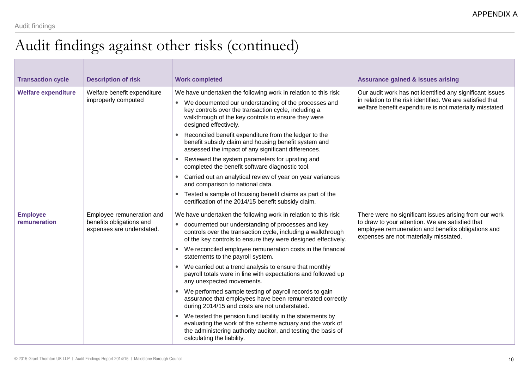### Audit findings against other risks (continued)

| <b>Transaction cycle</b>        | <b>Description of risk</b>                                                         | <b>Work completed</b>                                                                                                                                                                                                                                                                                                                                                                                                                                                                                                                                                                                                                               | <b>Assurance gained &amp; issues arising</b>                                                                                                                                                               |
|---------------------------------|------------------------------------------------------------------------------------|-----------------------------------------------------------------------------------------------------------------------------------------------------------------------------------------------------------------------------------------------------------------------------------------------------------------------------------------------------------------------------------------------------------------------------------------------------------------------------------------------------------------------------------------------------------------------------------------------------------------------------------------------------|------------------------------------------------------------------------------------------------------------------------------------------------------------------------------------------------------------|
| <b>Welfare expenditure</b>      | Welfare benefit expenditure<br>improperly computed                                 | We have undertaken the following work in relation to this risk:<br>• We documented our understanding of the processes and<br>key controls over the transaction cycle, including a<br>walkthrough of the key controls to ensure they were<br>designed effectively.<br>Reconciled benefit expenditure from the ledger to the<br>benefit subsidy claim and housing benefit system and<br>assessed the impact of any significant differences.<br>Reviewed the system parameters for uprating and                                                                                                                                                        | Our audit work has not identified any significant issues<br>in relation to the risk identified. We are satisfied that<br>welfare benefit expenditure is not materially misstated.                          |
|                                 |                                                                                    | completed the benefit software diagnostic tool.<br>Carried out an analytical review of year on year variances<br>and comparison to national data.<br>Tested a sample of housing benefit claims as part of the<br>$\bullet$<br>certification of the 2014/15 benefit subsidy claim.                                                                                                                                                                                                                                                                                                                                                                   |                                                                                                                                                                                                            |
| <b>Employee</b><br>remuneration | Employee remuneration and<br>benefits obligations and<br>expenses are understated. | We have undertaken the following work in relation to this risk:<br>documented our understanding of processes and key<br>controls over the transaction cycle, including a walkthrough<br>of the key controls to ensure they were designed effectively.<br>We reconciled employee remuneration costs in the financial<br>statements to the payroll system.<br>We carried out a trend analysis to ensure that monthly<br>$\bullet$<br>payroll totals were in line with expectations and followed up<br>any unexpected movements.<br>We performed sample testing of payroll records to gain<br>assurance that employees have been remunerated correctly | There were no significant issues arising from our work<br>to draw to your attention. We are satisfied that<br>employee remuneration and benefits obligations and<br>expenses are not materially misstated. |
|                                 |                                                                                    | during 2014/15 and costs are not understated.<br>We tested the pension fund liability in the statements by<br>$\bullet$<br>evaluating the work of the scheme actuary and the work of<br>the administering authority auditor, and testing the basis of<br>calculating the liability.                                                                                                                                                                                                                                                                                                                                                                 |                                                                                                                                                                                                            |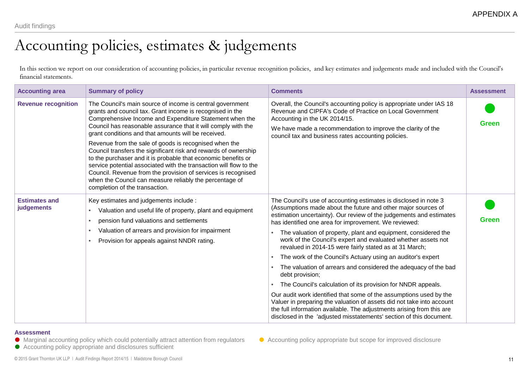### Accounting policies, estimates & judgements

In this section we report on our consideration of accounting policies, in particular revenue recognition policies, and key estimates and judgements made and included with the Council's financial statements.

| <b>Accounting area</b>             | <b>Summary of policy</b>                                                                                                                                                                                                                                                                                                                                                                                                                                                                                                                                                                                                                                                                                                                   | <b>Comments</b>                                                                                                                                                                                                                                                                                                                                                                                                                                                                                                                                                                                                                                                                                                                                                                                                                                                                                                                                                                                              | <b>Assessment</b> |
|------------------------------------|--------------------------------------------------------------------------------------------------------------------------------------------------------------------------------------------------------------------------------------------------------------------------------------------------------------------------------------------------------------------------------------------------------------------------------------------------------------------------------------------------------------------------------------------------------------------------------------------------------------------------------------------------------------------------------------------------------------------------------------------|--------------------------------------------------------------------------------------------------------------------------------------------------------------------------------------------------------------------------------------------------------------------------------------------------------------------------------------------------------------------------------------------------------------------------------------------------------------------------------------------------------------------------------------------------------------------------------------------------------------------------------------------------------------------------------------------------------------------------------------------------------------------------------------------------------------------------------------------------------------------------------------------------------------------------------------------------------------------------------------------------------------|-------------------|
| <b>Revenue recognition</b>         | The Council's main source of income is central government<br>grants and council tax. Grant income is recognised in the<br>Comprehensive Income and Expenditure Statement when the<br>Council has reasonable assurance that it will comply with the<br>grant conditions and that amounts will be received.<br>Revenue from the sale of goods is recognised when the<br>Council transfers the significant risk and rewards of ownership<br>to the purchaser and it is probable that economic benefits or<br>service potential associated with the transaction will flow to the<br>Council. Revenue from the provision of services is recognised<br>when the Council can measure reliably the percentage of<br>completion of the transaction. | Overall, the Council's accounting policy is appropriate under IAS 18<br>Revenue and CIPFA's Code of Practice on Local Government<br>Accounting in the UK 2014/15.<br>We have made a recommendation to improve the clarity of the<br>council tax and business rates accounting policies.                                                                                                                                                                                                                                                                                                                                                                                                                                                                                                                                                                                                                                                                                                                      | Green             |
| <b>Estimates and</b><br>judgements | Key estimates and judgements include :<br>Valuation and useful life of property, plant and equipment<br>pension fund valuations and settlements<br>$\bullet$<br>Valuation of arrears and provision for impairment<br>$\bullet$<br>Provision for appeals against NNDR rating.                                                                                                                                                                                                                                                                                                                                                                                                                                                               | The Council's use of accounting estimates is disclosed in note 3<br>(Assumptions made about the future and other major sources of<br>estimation uncertainty). Our review of the judgements and estimates<br>has identified one area for improvement. We reviewed:<br>The valuation of property, plant and equipment, considered the<br>work of the Council's expert and evaluated whether assets not<br>revalued in 2014-15 were fairly stated as at 31 March;<br>The work of the Council's Actuary using an auditor's expert<br>$\bullet$<br>The valuation of arrears and considered the adequacy of the bad<br>$\bullet$<br>debt provision;<br>The Council's calculation of its provision for NNDR appeals.<br>Our audit work identified that some of the assumptions used by the<br>Valuer in preparing the valuation of assets did not take into account<br>the full information available. The adjustments arising from this are<br>disclosed in the 'adjusted misstatements' section of this document. | <b>Green</b>      |

#### **Assessment**

- Marginal accounting policy which could potentially attract attention from regulators ●
- Accounting policy appropriate and disclosures sufficient

Accounting policy appropriate but scope for improved disclosure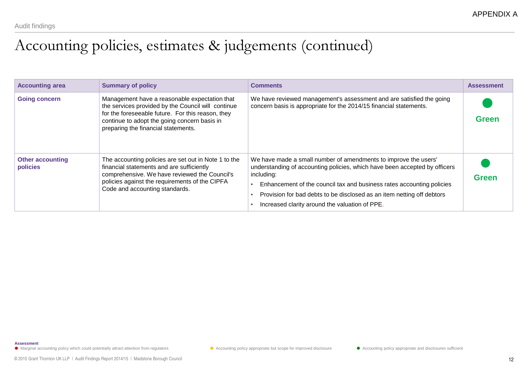### Accounting policies, estimates & judgements (continued)

| <b>Accounting area</b>              | <b>Summary of policy</b>                                                                                                                                                                                                                        | <b>Comments</b>                                                                                                                                                                                                                                                                                                                                                  | <b>Assessment</b> |
|-------------------------------------|-------------------------------------------------------------------------------------------------------------------------------------------------------------------------------------------------------------------------------------------------|------------------------------------------------------------------------------------------------------------------------------------------------------------------------------------------------------------------------------------------------------------------------------------------------------------------------------------------------------------------|-------------------|
| <b>Going concern</b>                | Management have a reasonable expectation that<br>the services provided by the Council will continue<br>for the foreseeable future. For this reason, they<br>continue to adopt the going concern basis in<br>preparing the financial statements. | We have reviewed management's assessment and are satisfied the going<br>concern basis is appropriate for the 2014/15 financial statements.                                                                                                                                                                                                                       | <b>Green</b>      |
| <b>Other accounting</b><br>policies | The accounting policies are set out in Note 1 to the<br>financial statements and are sufficiently<br>comprehensive. We have reviewed the Council's<br>policies against the requirements of the CIPFA<br>Code and accounting standards.          | We have made a small number of amendments to improve the users'<br>understanding of accounting policies, which have been accepted by officers<br>including:<br>Enhancement of the council tax and business rates accounting policies<br>Provision for bad debts to be disclosed as an item netting off debtors<br>Increased clarity around the valuation of PPE. | <b>Green</b>      |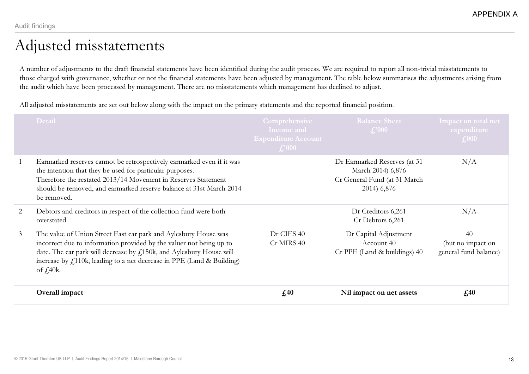### Adjusted misstatements

A number of adjustments to the draft financial statements have been identified during the audit process. We are required to report all non-trivial misstatements to those charged with governance, whether or not the financial statements have been adjusted by management. The table below summarises the adjustments arising from the audit which have been processed by management. There are no misstatements which management has declined to adjust.

All adjusted misstatements are set out below along with the impact on the primary statements and the reported financial position.

|                | <b>Detail</b>                                                                                                                                                                                                                                                                                                           | <b>Comprehensive</b><br>Income and<br><b>Expenditure Account</b><br>$\pm$ 000 | <b>Balance Sheet</b><br>$\textbf{\textsterling}1000$                                             | Impact on total net<br>expenditure<br>$\pounds$ 000 |
|----------------|-------------------------------------------------------------------------------------------------------------------------------------------------------------------------------------------------------------------------------------------------------------------------------------------------------------------------|-------------------------------------------------------------------------------|--------------------------------------------------------------------------------------------------|-----------------------------------------------------|
| $\mathbf{1}$   | Earmarked reserves cannot be retrospectively earmarked even if it was<br>the intention that they be used for particular purposes.<br>Therefore the restated 2013/14 Movement in Reserves Statement<br>should be removed, and earmarked reserve balance at 31st March 2014<br>be removed.                                |                                                                               | Dr Earmarked Reserves (at 31<br>March 2014) 6,876<br>Cr General Fund (at 31 March<br>2014) 6,876 | N/A                                                 |
| 2              | Debtors and creditors in respect of the collection fund were both<br>overstated                                                                                                                                                                                                                                         |                                                                               | Dr Creditors 6,261<br>Cr Debtors 6,261                                                           | N/A                                                 |
| 3 <sup>1</sup> | The value of Union Street East car park and Aylesbury House was<br>incorrect due to information provided by the valuer not being up to<br>date. The car park will decrease by $f1150k$ , and Aylesbury House will<br>increase by $f1110k$ , leading to a net decrease in PPE (Land & Building)<br>of $\frac{1}{2}40k$ . | Dr CIES 40<br>Cr MIRS 40                                                      | Dr Capital Adjustment<br>Account 40<br>Cr PPE (Land & buildings) 40                              | 40<br>(but no impact on<br>general fund balance)    |
|                | Overall impact                                                                                                                                                                                                                                                                                                          | f <sub>40</sub>                                                               | Nil impact on net assets                                                                         | f <sub>40</sub>                                     |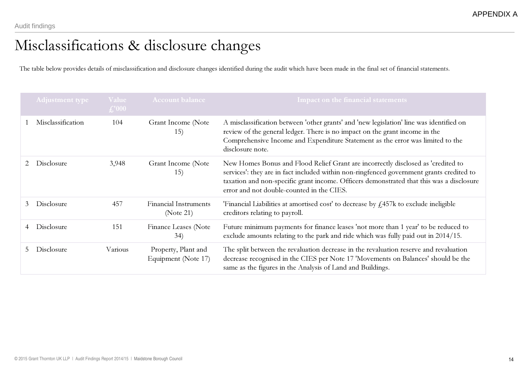### Misclassifications & disclosure changes

The table below provides details of misclassification and disclosure changes identified during the audit which have been made in the final set of financial statements.

|    | Adjustment type   | Value<br>$\pounds$ '000 | <b>Account balance</b>                     | <b>Impact on the financial statements</b>                                                                                                                                                                                                                                                                             |
|----|-------------------|-------------------------|--------------------------------------------|-----------------------------------------------------------------------------------------------------------------------------------------------------------------------------------------------------------------------------------------------------------------------------------------------------------------------|
|    | Misclassification | 104                     | Grant Income (Note<br>15)                  | A misclassification between 'other grants' and 'new legislation' line was identified on<br>review of the general ledger. There is no impact on the grant income in the<br>Comprehensive Income and Expenditure Statement as the error was limited to the<br>disclosure note.                                          |
|    | Disclosure        | 3,948                   | Grant Income (Note<br>15)                  | New Homes Bonus and Flood Relief Grant are incorrectly disclosed as 'credited to<br>services': they are in fact included within non-ringfenced government grants credited to<br>taxation and non-specific grant income. Officers demonstrated that this was a disclosure<br>error and not double-counted in the CIES. |
| 3  | Disclosure        | 457                     | <b>Financial Instruments</b><br>(Note 21)  | 'Financial Liabilities at amortised cost' to decrease by $f$ ,457k to exclude ineligible<br>creditors relating to payroll.                                                                                                                                                                                            |
| 4  | Disclosure        | 151                     | Finance Leases (Note<br>34)                | Future minimum payments for finance leases 'not more than 1 year' to be reduced to<br>exclude amounts relating to the park and ride which was fully paid out in 2014/15.                                                                                                                                              |
| 5. | Disclosure        | Various                 | Property, Plant and<br>Equipment (Note 17) | The split between the revaluation decrease in the revaluation reserve and revaluation<br>decrease recognised in the CIES per Note 17 'Movements on Balances' should be the<br>same as the figures in the Analysis of Land and Buildings.                                                                              |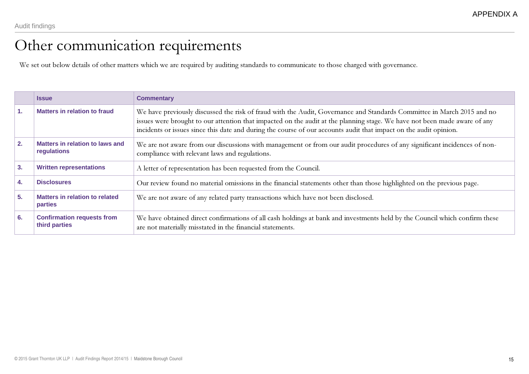### Other communication requirements

We set out below details of other matters which we are required by auditing standards to communicate to those charged with governance.

|                | <b>Issue</b>                                            | <b>Commentary</b>                                                                                                                                                                                                                                                                                                                                                        |
|----------------|---------------------------------------------------------|--------------------------------------------------------------------------------------------------------------------------------------------------------------------------------------------------------------------------------------------------------------------------------------------------------------------------------------------------------------------------|
| $\mathbf{1}$ . | Matters in relation to fraud                            | We have previously discussed the risk of fraud with the Audit, Governance and Standards Committee in March 2015 and no<br>issues were brought to our attention that impacted on the audit at the planning stage. We have not been made aware of any<br>incidents or issues since this date and during the course of our accounts audit that impact on the audit opinion. |
| 2.             | <b>Matters in relation to laws and</b><br>regulations   | We are not aware from our discussions with management or from our audit procedures of any significant incidences of non-<br>compliance with relevant laws and regulations.                                                                                                                                                                                               |
| 3.             | <b>Written representations</b>                          | A letter of representation has been requested from the Council.                                                                                                                                                                                                                                                                                                          |
| 4.             | <b>Disclosures</b>                                      | Our review found no material omissions in the financial statements other than those highlighted on the previous page.                                                                                                                                                                                                                                                    |
| 5.             | <b>Matters in relation to related</b><br><b>parties</b> | We are not aware of any related party transactions which have not been disclosed.                                                                                                                                                                                                                                                                                        |
| 6.             | <b>Confirmation requests from</b><br>third parties      | We have obtained direct confirmations of all cash holdings at bank and investments held by the Council which confirm these<br>are not materially misstated in the financial statements.                                                                                                                                                                                  |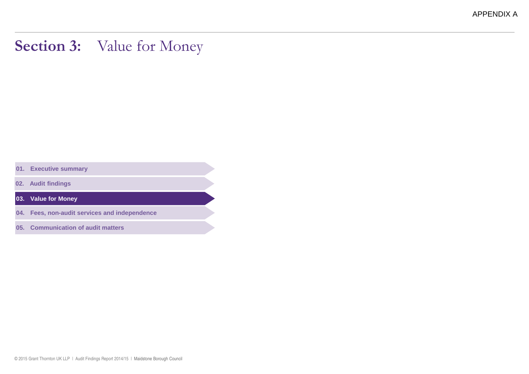APPENDIX A

### Section 3: Value for Money

**01. Executive summary**

**02. Audit findings**

**03. Value for Money**

**04. Fees, non-audit services and independence**

**05. Communication of audit matters**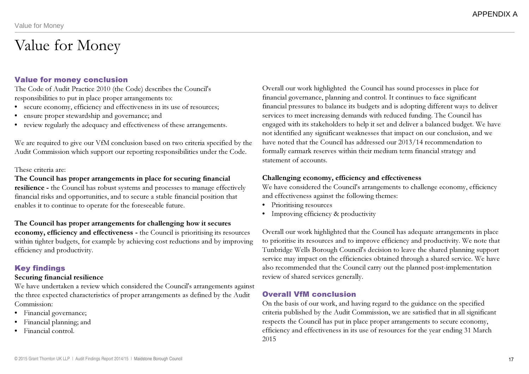### Value for Money

#### Value for money conclusion

 The Code of Audit Practice 2010 (the Code) describes the Council's responsibilities to put in place proper arrangements to:

- secure economy, efficiency and effectiveness in its use of resources;
- •ensure proper stewardship and governance; and
- review regularly the adequacy and effectiveness of these arrangements.

We are required to give our VfM conclusion based on two criteria specified by the Audit Commission which support our reporting responsibilities under the Code.

#### These criteria are:

#### The Council has proper arrangements in place for securing financial

resilience - the Council has robust systems and processes to manage effectively financial risks and opportunities, and to secure a stable financial position that enables it to continue to operate for the foreseeable future.

#### The Council has proper arrangements for challenging how it secures

economy, efficiency and effectiveness - the Council is prioritising its resources within tighter budgets, for example by achieving cost reductions and by improving efficiency and productivity.

#### Key findings

#### Securing financial resilience

 We have undertaken a review which considered the Council's arrangements against the three expected characteristics of proper arrangements as defined by the Audit Commission:

- Financial governance;
- Financial planning; and
- Financial control.

Overall our work highlighted the Council has sound processes in place for financial governance, planning and control. It continues to face significant financial pressures to balance its budgets and is adopting different ways to deliver services to meet increasing demands with reduced funding. The Council has engaged with its stakeholders to help it set and deliver a balanced budget. We have not identified any significant weaknesses that impact on our conclusion, and we have noted that the Council has addressed our 2013/14 recommendation to formally earmark reserves within their medium term financial strategy and statement of accounts.

#### Challenging economy, efficiency and effectiveness

 We have considered the Council's arrangements to challenge economy, efficiency and effectiveness against the following themes:

- Prioritising resources
- Improving efficiency & productivity

Overall our work highlighted that the Council has adequate arrangements in place to prioritise its resources and to improve efficiency and productivity. We note thatTunbridge Wells Borough Council's decision to leave the shared planning support service may impact on the efficiencies obtained through a shared service. We have also recommended that the Council carry out the planned post-implementation review of shared services generally.

#### Overall VfM conclusion

 On the basis of our work, and having regard to the guidance on the specified criteria published by the Audit Commission, we are satisfied that in all significant respects the Council has put in place proper arrangements to secure economy, efficiency and effectiveness in its use of resources for the year ending 31 March 2015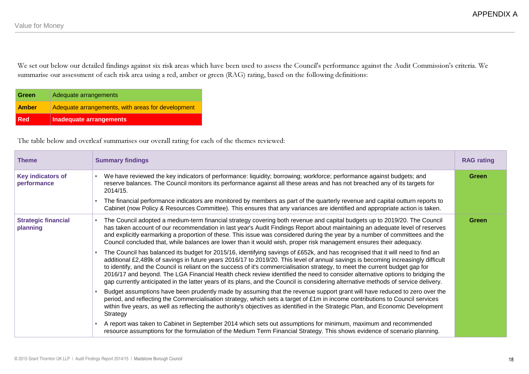We set out below our detailed findings against six risk areas which have been used to assess the Council's performance against the Audit Commission's criteria. We summarise our assessment of each risk area using a red, amber or green (RAG) rating, based on the following definitions:

| <b>Red</b>   | Inadequate arrangements                           |
|--------------|---------------------------------------------------|
| <b>Amber</b> | Adequate arrangements, with areas for development |
| <b>Green</b> | Adequate arrangements                             |

The table below and overleaf summarises our overall rating for each of the themes reviewed:

| <b>Theme</b>                            | <b>Summary findings</b>                                                                                                                                                                                                                                                                                                                                                                                                                                                                                                                                                                                                                                                                                                                                                                                                                                                                                                                                                                                                                                                                                                                                                                                                                                                                                                                                                                                                                                                                                                                                                                                                                                                                                                                                                                                                                                                      | <b>RAG rating</b> |
|-----------------------------------------|------------------------------------------------------------------------------------------------------------------------------------------------------------------------------------------------------------------------------------------------------------------------------------------------------------------------------------------------------------------------------------------------------------------------------------------------------------------------------------------------------------------------------------------------------------------------------------------------------------------------------------------------------------------------------------------------------------------------------------------------------------------------------------------------------------------------------------------------------------------------------------------------------------------------------------------------------------------------------------------------------------------------------------------------------------------------------------------------------------------------------------------------------------------------------------------------------------------------------------------------------------------------------------------------------------------------------------------------------------------------------------------------------------------------------------------------------------------------------------------------------------------------------------------------------------------------------------------------------------------------------------------------------------------------------------------------------------------------------------------------------------------------------------------------------------------------------------------------------------------------------|-------------------|
| <b>Key indicators of</b><br>performance | We have reviewed the key indicators of performance: liquidity; borrowing; workforce; performance against budgets; and<br>reserve balances. The Council monitors its performance against all these areas and has not breached any of its targets for<br>2014/15.<br>The financial performance indicators are monitored by members as part of the quarterly revenue and capital outturn reports to<br>Cabinet (now Policy & Resources Committee). This ensures that any variances are identified and appropriate action is taken.                                                                                                                                                                                                                                                                                                                                                                                                                                                                                                                                                                                                                                                                                                                                                                                                                                                                                                                                                                                                                                                                                                                                                                                                                                                                                                                                              | Green             |
| <b>Strategic financial</b><br>planning  | The Council adopted a medium-term financial strategy covering both revenue and capital budgets up to 2019/20. The Council<br>$\bullet$<br>has taken account of our recommendation in last year's Audit Findings Report about maintaining an adequate level of reserves<br>and explicitly earmarking a proportion of these. This issue was considered during the year by a number of committees and the<br>Council concluded that, while balances are lower than it would wish, proper risk management ensures their adequacy.<br>The Council has balanced its budget for 2015/16, identifying savings of £652k, and has recognised that it will need to find an<br>additional £2,489k of savings in future years 2016/17 to 2019/20. This level of annual savings is becoming increasingly difficult<br>to identify, and the Council is reliant on the success of it's commercialisation strategy, to meet the current budget gap for<br>2016/17 and beyond. The LGA Financial Health check review identified the need to consider alternative options to bridging the<br>gap currently anticipated in the latter years of its plans, and the Council is considering alternative methods of service delivery.<br>Budget assumptions have been prudently made by assuming that the revenue support grant will have reduced to zero over the<br>period, and reflecting the Commercialisation strategy, which sets a target of £1m in income contributions to Council services<br>within five years, as well as reflecting the authority's objectives as identified in the Strategic Plan, and Economic Development<br>Strategy<br>A report was taken to Cabinet in September 2014 which sets out assumptions for minimum, maximum and recommended<br>resource assumptions for the formulation of the Medium Term Financial Strategy. This shows evidence of scenario planning. | <b>Green</b>      |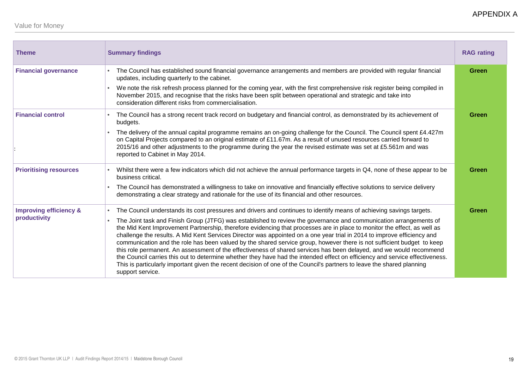| <b>Theme</b>                                      | <b>Summary findings</b>                                                                                                                                                                                                                                                                                                                                                                                                                                                                                                                                                                                                                                                                                                                                                                                                                                                                                                                                                                                                         | <b>RAG rating</b> |
|---------------------------------------------------|---------------------------------------------------------------------------------------------------------------------------------------------------------------------------------------------------------------------------------------------------------------------------------------------------------------------------------------------------------------------------------------------------------------------------------------------------------------------------------------------------------------------------------------------------------------------------------------------------------------------------------------------------------------------------------------------------------------------------------------------------------------------------------------------------------------------------------------------------------------------------------------------------------------------------------------------------------------------------------------------------------------------------------|-------------------|
| <b>Financial governance</b>                       | The Council has established sound financial governance arrangements and members are provided with regular financial<br>updates, including quarterly to the cabinet.<br>We note the risk refresh process planned for the coming year, with the first comprehensive risk register being compiled in<br>November 2015, and recognise that the risks have been split between operational and strategic and take into                                                                                                                                                                                                                                                                                                                                                                                                                                                                                                                                                                                                                | Green             |
| <b>Financial control</b>                          | consideration different risks from commercialisation.<br>The Council has a strong recent track record on budgetary and financial control, as demonstrated by its achievement of<br>budgets.<br>The delivery of the annual capital programme remains an on-going challenge for the Council. The Council spent £4.427m<br>on Capital Projects compared to an original estimate of £11.67m. As a result of unused resources carried forward to<br>2015/16 and other adjustments to the programme during the year the revised estimate was set at £5.561m and was<br>reported to Cabinet in May 2014.                                                                                                                                                                                                                                                                                                                                                                                                                               | Green             |
| <b>Prioritising resources</b>                     | Whilst there were a few indicators which did not achieve the annual performance targets in Q4, none of these appear to be<br>business critical.<br>The Council has demonstrated a willingness to take on innovative and financially effective solutions to service delivery<br>demonstrating a clear strategy and rationale for the use of its financial and other resources.                                                                                                                                                                                                                                                                                                                                                                                                                                                                                                                                                                                                                                                   | Green             |
| <b>Improving efficiency &amp;</b><br>productivity | The Council understands its cost pressures and drivers and continues to identify means of achieving savings targets.<br>The Joint task and Finish Group (JTFG) was established to review the governance and communication arrangements of<br>the Mid Kent Improvement Partnership, therefore evidencing that processes are in place to monitor the effect, as well as<br>challenge the results. A Mid Kent Services Director was appointed on a one year trial in 2014 to improve efficiency and<br>communication and the role has been valued by the shared service group, however there is not sufficient budget to keep<br>this role permanent. An assessment of the effectiveness of shared services has been delayed, and we would recommend<br>the Council carries this out to determine whether they have had the intended effect on efficiency and service effectiveness.<br>This is particularly important given the recent decision of one of the Council's partners to leave the shared planning<br>support service. | Green             |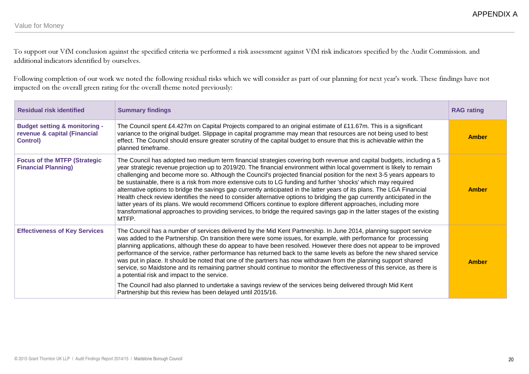To support our VfM conclusion against the specified criteria we performed a risk assessment against VfM risk indicators specified by the Audit Commission. and additional indicators identified by ourselves.

Following completion of our work we noted the following residual risks which we will consider as part of our planning for next year's work. These findings have not impacted on the overall green rating for the overall theme noted previously:

| <b>Residual risk identified</b>                                                              | <b>Summary findings</b>                                                                                                                                                                                                                                                                                                                                                                                                                                                                                                                                                                                                                                                                                                                                                                                                                                                                                                                                                                                     | <b>RAG rating</b> |
|----------------------------------------------------------------------------------------------|-------------------------------------------------------------------------------------------------------------------------------------------------------------------------------------------------------------------------------------------------------------------------------------------------------------------------------------------------------------------------------------------------------------------------------------------------------------------------------------------------------------------------------------------------------------------------------------------------------------------------------------------------------------------------------------------------------------------------------------------------------------------------------------------------------------------------------------------------------------------------------------------------------------------------------------------------------------------------------------------------------------|-------------------|
| <b>Budget setting &amp; monitoring -</b><br>revenue & capital (Financial<br><b>Control</b> ) | The Council spent £4.427m on Capital Projects compared to an original estimate of £11.67m. This is a significant<br>variance to the original budget. Slippage in capital programme may mean that resources are not being used to best<br>effect. The Council should ensure greater scrutiny of the capital budget to ensure that this is achievable within the<br>planned timeframe.                                                                                                                                                                                                                                                                                                                                                                                                                                                                                                                                                                                                                        | <b>Amber</b>      |
| <b>Focus of the MTFP (Strategic)</b><br><b>Financial Planning)</b>                           | The Council has adopted two medium term financial strategies covering both revenue and capital budgets, including a 5<br>year strategic revenue projection up to 2019/20. The financial environment within local government is likely to remain<br>challenging and become more so. Although the Council's projected financial position for the next 3-5 years appears to<br>be sustainable, there is a risk from more extensive cuts to LG funding and further 'shocks' which may required<br>alternative options to bridge the savings gap currently anticipated in the latter years of its plans. The LGA Financial<br>Health check review identifies the need to consider alternative options to bridging the gap currently anticipated in the<br>latter years of its plans. We would recommend Officers continue to explore different approaches, including more<br>transformational approaches to providing services, to bridge the required savings gap in the latter stages of the existing<br>MTFP. | <b>Amber</b>      |
| <b>Effectiveness of Key Services</b>                                                         | The Council has a number of services delivered by the Mid Kent Partnership. In June 2014, planning support service<br>was added to the Partnership. On transition there were some issues, for example, with performance for processing<br>planning applications, although these do appear to have been resolved. However there does not appear to be improved<br>performance of the service, rather performance has returned back to the same levels as before the new shared service<br>was put in place. It should be noted that one of the partners has now withdrawn from the planning support shared<br>service, so Maidstone and its remaining partner should continue to monitor the effectiveness of this service, as there is<br>a potential risk and impact to the service.<br>The Council had also planned to undertake a savings review of the services being delivered through Mid Kent<br>Partnership but this review has been delayed until 2015/16.                                         | <b>Amber</b>      |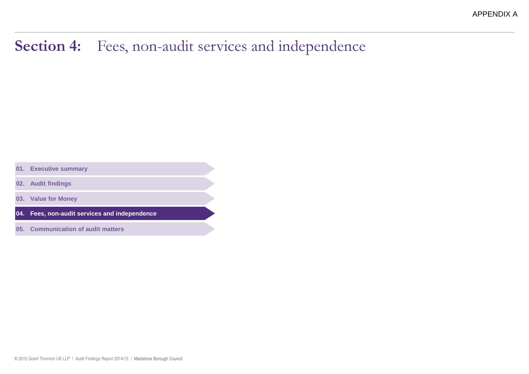#### Section 4:Fees, non-audit services and independence

**01. Executive summary**

**02. Audit findings**

**03. Value for Money**

**04. Fees, non-audit services and independence**

**05. Communication of audit matters**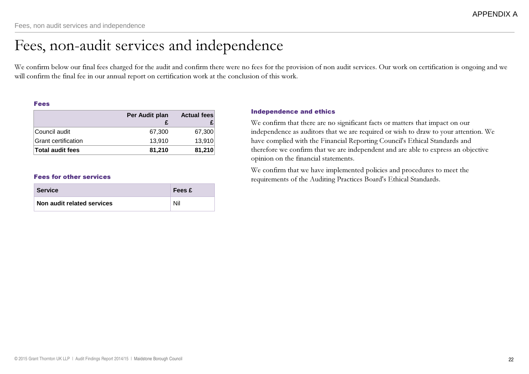### Fees, non-audit services and independence

We confirm below our final fees charged for the audit and confirm there were no fees for the provision of non audit services. Our work on certification is ongoing and we will confirm the final fee in our annual report on certification work at the conclusion of this work.

#### Fees

|                         | Per Audit plan | <b>Actual fees</b> |
|-------------------------|----------------|--------------------|
| Council audit           | 67,300         | 67,300             |
| Grant certification     | 13.910         | 13,910             |
| <b>Total audit fees</b> | 81,210         | 81,210             |

| <b>Service</b>             | Fees £ |
|----------------------------|--------|
| Non audit related services | Nil    |

#### Independence and ethics

We confirm that there are no significant facts or matters that impact on our independence as auditors that we are required or wish to draw to your attention. We have complied with the Financial Reporting Council's Ethical Standards and therefore we confirm that we are independent and are able to express an objective opinion on the financial statements.

We confirm that we have implemented policies and procedures to meet the Fees for other services **Fees for other services** Fequirements of the Auditing Practices Board's Ethical Standards.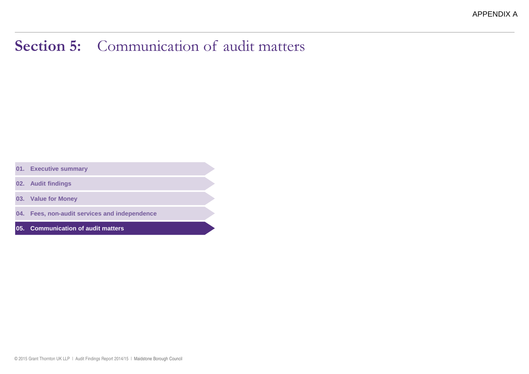### Section 5: Communication of audit matters

- **01. Executive summary**
- **02. Audit findings**
- **03. Value for Money**
- **04. Fees, non-audit services and independence**
- **05. Communication of audit matters**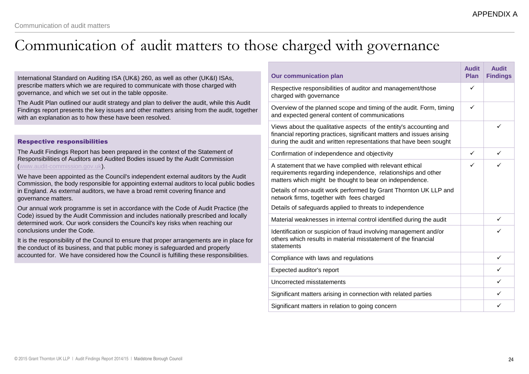### Communication of audit matters to those charged with governance

International Standard on Auditing ISA (UK&) 260, as well as other (UK&I) ISAs, prescribe matters which we are required to communicate with those charged with governance, and which we set out in the table opposite.

The Audit Plan outlined our audit strategy and plan to deliver the audit, while this Audit Findings report presents the key issues and other matters arising from the audit, together with an explanation as to how these have been resolved.

#### Respective responsibilities

The Audit Findings Report has been prepared in the context of the Statement of Responsibilities of Auditors and Audited Bodies issued by the Audit Commission (www.audit-commission.gov.uk).

We have been appointed as the Council's independent external auditors by the Audit Commission, the body responsible for appointing external auditors to local public bodies in England. As external auditors, we have a broad remit covering finance and governance matters.

Our annual work programme is set in accordance with the Code of Audit Practice (the Code) issued by the Audit Commission and includes nationally prescribed and locally determined work. Our work considers the Council's key risks when reaching our conclusions under the Code.

It is the responsibility of the Council to ensure that proper arrangements are in place for the conduct of its business, and that public money is safeguarded and properly accounted for. We have considered how the Council is fulfilling these responsibilities.

| <b>Our communication plan</b>                                                                                                                                                                                     | <b>Audit</b><br><b>Plan</b> | <b>Audit</b><br><b>Findings</b> |
|-------------------------------------------------------------------------------------------------------------------------------------------------------------------------------------------------------------------|-----------------------------|---------------------------------|
| Respective responsibilities of auditor and management/those<br>charged with governance                                                                                                                            | ✓                           |                                 |
| Overview of the planned scope and timing of the audit. Form, timing<br>and expected general content of communications                                                                                             | ✓                           |                                 |
| Views about the qualitative aspects of the entity's accounting and<br>financial reporting practices, significant matters and issues arising<br>during the audit and written representations that have been sought |                             | ✓                               |
| Confirmation of independence and objectivity                                                                                                                                                                      | ✓                           | $\checkmark$                    |
| A statement that we have complied with relevant ethical<br>requirements regarding independence, relationships and other<br>matters which might be thought to bear on independence.                                | ✓                           | ✓                               |
| Details of non-audit work performed by Grant Thornton UK LLP and<br>network firms, together with fees charged                                                                                                     |                             |                                 |
| Details of safeguards applied to threats to independence                                                                                                                                                          |                             |                                 |
| Material weaknesses in internal control identified during the audit                                                                                                                                               |                             | ✓                               |
| Identification or suspicion of fraud involving management and/or<br>others which results in material misstatement of the financial<br>statements                                                                  |                             | ✓                               |
| Compliance with laws and regulations                                                                                                                                                                              |                             | ✓                               |
| Expected auditor's report                                                                                                                                                                                         |                             | ✓                               |
| Uncorrected misstatements                                                                                                                                                                                         |                             | ✓                               |
| Significant matters arising in connection with related parties                                                                                                                                                    |                             | ✓                               |
| Significant matters in relation to going concern                                                                                                                                                                  |                             | ✓                               |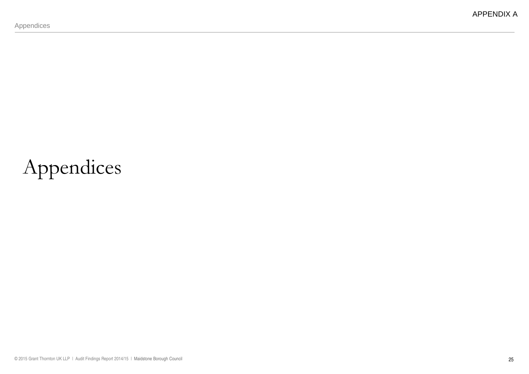# Appendices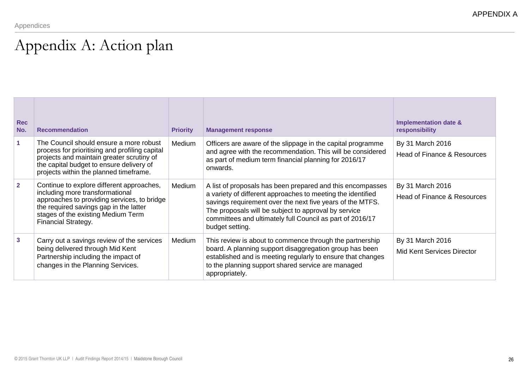### Appendix A: Action plan

| <b>Rec</b><br>No. | <b>Recommendation</b>                                                                                                                                                                                                              | <b>Priority</b> | <b>Management response</b>                                                                                                                                                                                                                                                                                                     | <b>Implementation date &amp;</b><br>responsibility         |
|-------------------|------------------------------------------------------------------------------------------------------------------------------------------------------------------------------------------------------------------------------------|-----------------|--------------------------------------------------------------------------------------------------------------------------------------------------------------------------------------------------------------------------------------------------------------------------------------------------------------------------------|------------------------------------------------------------|
| 1                 | The Council should ensure a more robust<br>process for prioritising and profiling capital<br>projects and maintain greater scrutiny of<br>the capital budget to ensure delivery of<br>projects within the planned timeframe.       | Medium          | Officers are aware of the slippage in the capital programme<br>and agree with the recommendation. This will be considered<br>as part of medium term financial planning for 2016/17<br>onwards.                                                                                                                                 | By 31 March 2016<br>Head of Finance & Resources            |
| $\overline{2}$    | Continue to explore different approaches,<br>including more transformational<br>approaches to providing services, to bridge<br>the required savings gap in the latter<br>stages of the existing Medium Term<br>Financial Strategy. | Medium          | A list of proposals has been prepared and this encompasses<br>a variety of different approaches to meeting the identified<br>savings requirement over the next five years of the MTFS.<br>The proposals will be subject to approval by service<br>committees and ultimately full Council as part of 2016/17<br>budget setting. | By 31 March 2016<br><b>Head of Finance &amp; Resources</b> |
| $\mathbf{3}$      | Carry out a savings review of the services<br>being delivered through Mid Kent<br>Partnership including the impact of<br>changes in the Planning Services.                                                                         | Medium          | This review is about to commence through the partnership<br>board. A planning support disaggregation group has been<br>established and is meeting regularly to ensure that changes<br>to the planning support shared service are managed<br>appropriately.                                                                     | By 31 March 2016<br><b>Mid Kent Services Director</b>      |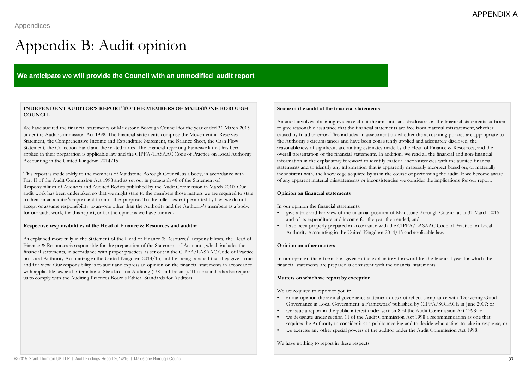## Appendix B: Audit opinion

#### **We anticipate we will provide the Council with an unmodified audit report**

#### INDEPENDENT AUDITOR'S REPORT TO THE MEMBERS OF MAIDSTONE BOROUGH **COUNCIL**

We have audited the financial statements of Maidstone Borough Council for the year ended 31 March 2015 under the Audit Commission Act 1998. The financial statements comprise the Movement in Reserves Statement, the Comprehensive Income and Expenditure Statement, the Balance Sheet, the Cash Flow Statement, the Collection Fund and the related notes. The financial reporting framework that has been applied in their preparation is applicable law and the CIPFA/LASAAC Code of Practice on Local Authority Accounting in the United Kingdom 2014/15.

This report is made solely to the members of Maidstone Borough Council, as a body, in accordance with Part II of the Audit Commission Act 1998 and as set out in paragraph 48 of the Statement of Responsibilities of Auditors and Audited Bodies published by the Audit Commission in March 2010. Our audit work has been undertaken so that we might state to the members those matters we are required to state to them in an auditor's report and for no other purpose. To the fullest extent permitted by law, we do not accept or assume responsibility to anyone other than the Authority and the Authority's members as a body, for our audit work, for this report, or for the opinions we have formed.

#### Respective responsibilities of the Head of Finance & Resources and auditor

As explained more fully in the Statement of the Head of Finance & Resources' Responsibilities, the Head of Finance & Resources is responsible for the preparation of the Statement of Accounts, which includes the financial statements, in accordance with proper practices as set out in the CIPFA/LASAAC Code of Practice on Local Authority Accounting in the United Kingdom 2014/15, and for being satisfied that they give a true and fair view. Our responsibility is to audit and express an opinion on the financial statements in accordance with applicable law and International Standards on Auditing (UK and Ireland). Those standards also require us to comply with the Auditing Practices Board's Ethical Standards for Auditors.

#### Scope of the audit of the financial statements

An audit involves obtaining evidence about the amounts and disclosures in the financial statements sufficient to give reasonable assurance that the financial statements are free from material misstatement, whether caused by fraud or error. This includes an assessment of: whether the accounting policies are appropriate to the Authority's circumstances and have been consistently applied and adequately disclosed; the reasonableness of significant accounting estimates made by the Head of Finance & Resources; and the overall presentation of the financial statements. In addition, we read all the financial and non-financial information in the explanatory foreword to identify material inconsistencies with the audited financial statements and to identify any information that is apparently materially incorrect based on, or materially inconsistent with, the knowledge acquired by us in the course of performing the audit. If we become aware of any apparent material misstatements or inconsistencies we consider the implications for our report.

#### Opinion on financial statements

In our opinion the financial statements:

- • give a true and fair view of the financial position of Maidstone Borough Council as at 31 March 2015 and of its expenditure and income for the year then ended; and
- have been properly prepared in accordance with the CIPFA/LASAAC Code of Practice on Local •Authority Accounting in the United Kingdom 2014/15 and applicable law.

#### Opinion on other matters

In our opinion, the information given in the explanatory foreword for the financial year for which the financial statements are prepared is consistent with the financial statements.

#### Matters on which we report by exception

We are required to report to you if:

- • in our opinion the annual governance statement does not reflect compliance with 'Delivering Good Governance in Local Government: a Framework' published by CIPFA/SOLACE in June 2007; or
- •we issue a report in the public interest under section 8 of the Audit Commission Act 1998; or
- • we designate under section 11 of the Audit Commission Act 1998 a recommendation as one that requires the Authority to consider it at a public meeting and to decide what action to take in response; or
- •we exercise any other special powers of the auditor under the Audit Commission Act 1998.

We have nothing to report in these respects.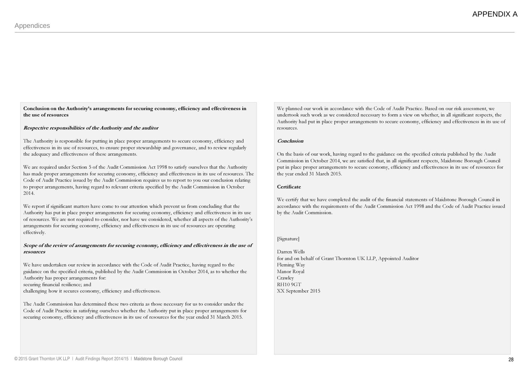Conclusion on the Authority's arrangements for securing economy, efficiency and effectiveness inthe use of resources

#### Respective responsibilities of the Authority and the auditor

The Authority is responsible for putting in place proper arrangements to secure economy, efficiency and effectiveness in its use of resources, to ensure proper stewardship and governance, and to review regularly the adequacy and effectiveness of these arrangements.

We are required under Section 5 of the Audit Commission Act 1998 to satisfy ourselves that the Authority has made proper arrangements for securing economy, efficiency and effectiveness in its use of resources. The Code of Audit Practice issued by the Audit Commission requires us to report to you our conclusion relating to proper arrangements, having regard to relevant criteria specified by the Audit Commission in October 2014.

We report if significant matters have come to our attention which prevent us from concluding that the Authority has put in place proper arrangements for securing economy, efficiency and effectiveness in its use of resources. We are not required to consider, nor have we considered, whether all aspects of the Authority's arrangements for securing economy, efficiency and effectiveness in its use of resources are operating effectively.

#### Scope of the review of arrangements for securing economy, efficiency and effectiveness in the use ofresources

We have undertaken our review in accordance with the Code of Audit Practice, having regard to the guidance on the specified criteria, published by the Audit Commission in October 2014, as to whether the Authority has proper arrangements for: securing financial resilience; andchallenging how it secures economy, efficiency and effectiveness.

The Audit Commission has determined these two criteria as those necessary for us to consider under the Code of Audit Practice in satisfying ourselves whether the Authority put in place proper arrangements for securing economy, efficiency and effectiveness in its use of resources for the year ended 31 March 2015.

We planned our work in accordance with the Code of Audit Practice. Based on our risk assessment, we undertook such work as we considered necessary to form a view on whether, in all significant respects, the Authority had put in place proper arrangements to secure economy, efficiency and effectiveness in its use of resources.

#### Conclusion

On the basis of our work, having regard to the guidance on the specified criteria published by the Audit Commission in October 2014, we are satisfied that, in all significant respects, Maidstone Borough Council put in place proper arrangements to secure economy, efficiency and effectiveness in its use of resources for the year ended 31 March 2015.

#### **Certificate**

We certify that we have completed the audit of the financial statements of Maidstone Borough Council in accordance with the requirements of the Audit Commission Act 1998 and the Code of Audit Practice issued by the Audit Commission.

#### [Signature]

Darren Wells for and on behalf of Grant Thornton UK LLP, Appointed AuditorFleming Way Manor Royal Crawley RH10 9GTXX September 2015